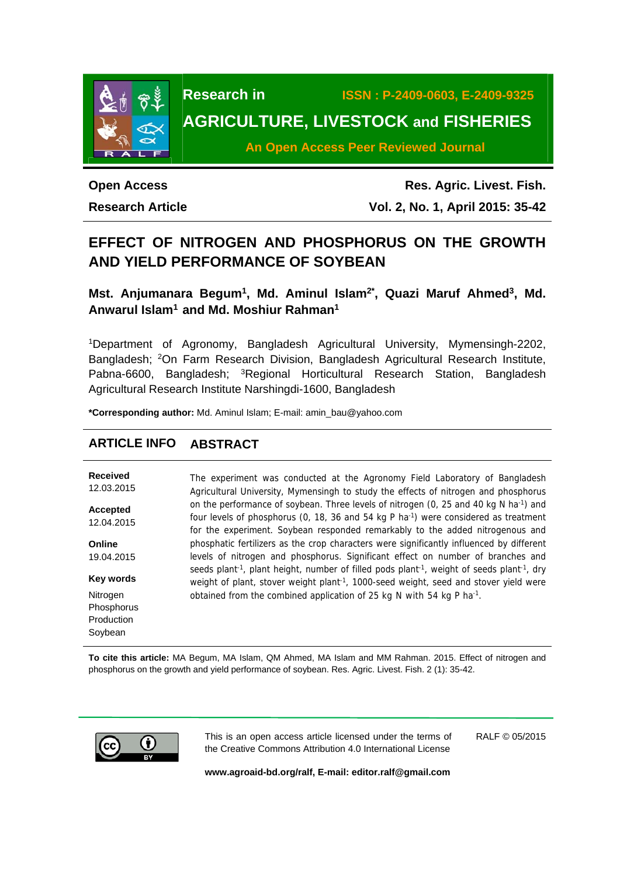

**Research in ISSN : P-2409-0603, E-2409-9325 AGRICULTURE, LIVESTOCK and FISHERIES** 

**An Open Access Peer Reviewed Journal**

# **Open Access**

**Research Article** 

**Res. Agric. Livest. Fish. Vol. 2, No. 1, April 2015: 35-42**

## **EFFECT OF NITROGEN AND PHOSPHORUS ON THE GROWTH AND YIELD PERFORMANCE OF SOYBEAN**

Mst. Anjumanara Begum<sup>1</sup>, Md. Aminul Islam<sup>2\*</sup>, Quazi Maruf Ahmed<sup>3</sup>, Md. **Anwarul Islam1 and Md. Moshiur Rahman1**

1Department of Agronomy, Bangladesh Agricultural University, Mymensingh-2202, Bangladesh; 2On Farm Research Division, Bangladesh Agricultural Research Institute, Pabna-6600, Bangladesh; <sup>3</sup>Regional Horticultural Research Station, Bangladesh Agricultural Research Institute Narshingdi-1600, Bangladesh

**\*Corresponding author:** Md. Aminul Islam; E-mail: amin\_bau@yahoo.com

## **ARTICLE INFO ABSTRACT**

| Received               | The experiment was conducted at the Agronomy Field Laboratory of Bangladesh                                                                                                                                                          |
|------------------------|--------------------------------------------------------------------------------------------------------------------------------------------------------------------------------------------------------------------------------------|
| 12.03.2015             | Agricultural University, Mymensingh to study the effects of nitrogen and phosphorus                                                                                                                                                  |
| Accepted               | on the performance of soybean. Three levels of nitrogen (0, 25 and 40 kg N ha <sup>-1</sup> ) and                                                                                                                                    |
| 12.04.2015             | four levels of phosphorus (0, 18, 36 and 54 kg P ha <sup>-1</sup> ) were considered as treatment                                                                                                                                     |
|                        | for the experiment. Soybean responded remarkably to the added nitrogenous and                                                                                                                                                        |
| Online                 | phosphatic fertilizers as the crop characters were significantly influenced by different                                                                                                                                             |
| 19.04.2015             | levels of nitrogen and phosphorus. Significant effect on number of branches and                                                                                                                                                      |
| Key words              | seeds plant <sup>-1</sup> , plant height, number of filled pods plant <sup>-1</sup> , weight of seeds plant <sup>-1</sup> , dry<br>weight of plant, stover weight plant <sup>-1</sup> , 1000-seed weight, seed and stover yield were |
| Nitrogen<br>Phosphorus | obtained from the combined application of 25 kg N with 54 kg P ha <sup>-1</sup> .                                                                                                                                                    |

**To cite this article:** MA Begum, MA Islam, QM Ahmed, MA Islam and MM Rahman. 2015. Effect of nitrogen and phosphorus on the growth and yield performance of soybean. Res. Agric. Livest. Fish. 2 (1): 35-42.



Production Soybean

> This is an open access article licensed under the terms of the Creative Commons Attribution 4.0 International License

RALF © 05/2015

**www.agroaid-bd.org/ralf, E-mail: editor.ralf@gmail.com**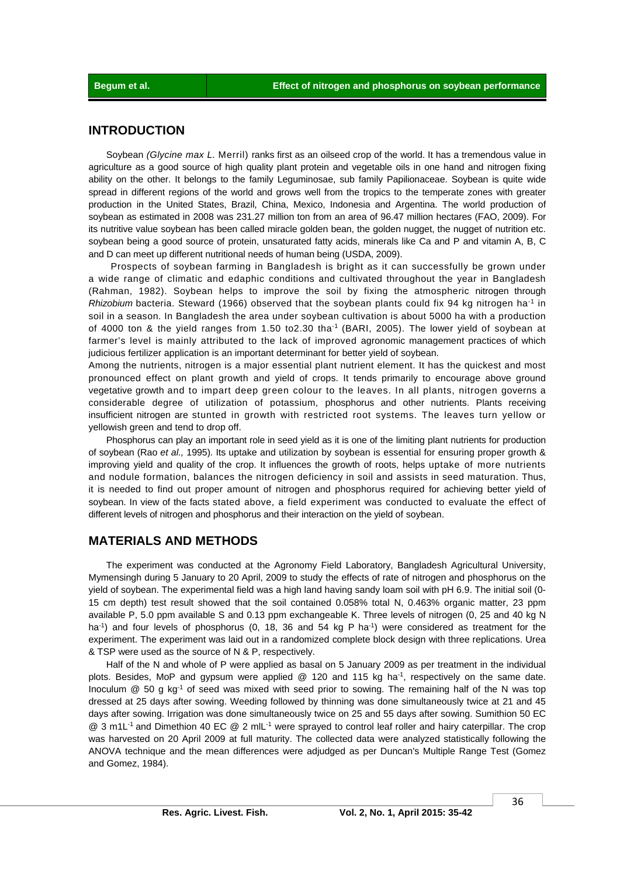## **INTRODUCTION**

 Soybean *(Glycine max L.* Merril) ranks first as an oilseed crop of the world. It has a tremendous value in agriculture as a good source of high quality plant protein and vegetable oils in one hand and nitrogen fixing ability on the other. It belongs to the family Leguminosae, sub family Papilionaceae. Soybean is quite wide spread in different regions of the world and grows well from the tropics to the temperate zones with greater production in the United States, Brazil, China, Mexico, Indonesia and Argentina. The world production of soybean as estimated in 2008 was 231.27 million ton from an area of 96.47 million hectares (FAO, 2009). For its nutritive value soybean has been called miracle golden bean, the golden nugget, the nugget of nutrition etc. soybean being a good source of protein, unsaturated fatty acids, minerals like Ca and P and vitamin A, B, C and D can meet up different nutritional needs of human being (USDA, 2009).

 Prospects of soybean farming in Bangladesh is bright as it can successfully be grown under a wide range of climatic and edaphic conditions and cultivated throughout the year in Bangladesh (Rahman, 1982). Soybean helps to improve the soil by fixing the atmospheric nitrogen through *Rhizobium* bacteria. Steward (1966) observed that the soybean plants could fix 94 kg nitrogen ha-1 in soil in a season. In Bangladesh the area under soybean cultivation is about 5000 ha with a production of 4000 ton & the yield ranges from 1.50 to2.30 tha-1 (BARI, 2005). The lower yield of soybean at farmer's level is mainly attributed to the lack of improved agronomic management practices of which judicious fertilizer application is an important determinant for better yield of soybean.

Among the nutrients, nitrogen is a major essential plant nutrient element. It has the quickest and most pronounced effect on plant growth and yield of crops. It tends primarily to encourage above ground vegetative growth and to impart deep green colour to the leaves. In all plants, nitrogen governs a considerable degree of utilization of potassium, phosphorus and other nutrients. Plants receiving insufficient nitrogen are stunted in growth with restricted root systems. The leaves turn yellow or yellowish green and tend to drop off.

 Phosphorus can play an important role in seed yield as it is one of the limiting plant nutrients for production of soybean (Rao *et al.,* 1995). Its uptake and utilization by soybean is essential for ensuring proper growth & improving yield and quality of the crop. It influences the growth of roots, helps uptake of more nutrients and nodule formation, balances the nitrogen deficiency in soil and assists in seed maturation. Thus, it is needed to find out proper amount of nitrogen and phosphorus required for achieving better yield of soybean. In view of the facts stated above, a field experiment was conducted to evaluate the effect of different levels of nitrogen and phosphorus and their interaction on the yield of soybean.

## **MATERIALS AND METHODS**

 The experiment was conducted at the Agronomy Field Laboratory, Bangladesh Agricultural University, Mymensingh during 5 January to 20 April, 2009 to study the effects of rate of nitrogen and phosphorus on the yield of soybean. The experimental field was a high land having sandy loam soil with pH 6.9. The initial soil (0- 15 cm depth) test result showed that the soil contained 0.058% total N, 0.463% organic matter, 23 ppm available P, 5.0 ppm available S and 0.13 ppm exchangeable K. Three levels of nitrogen (0, 25 and 40 kg N ha<sup>-1</sup>) and four levels of phosphorus (0, 18, 36 and 54 kg P ha<sup>-1</sup>) were considered as treatment for the experiment. The experiment was laid out in a randomized complete block design with three replications. Urea & TSP were used as the source of N & P, respectively.

 Half of the N and whole of P were applied as basal on 5 January 2009 as per treatment in the individual plots. Besides, MoP and gypsum were applied @ 120 and 115 kg ha<sup>-1</sup>, respectively on the same date. Inoculum @ 50 g kg<sup>-1</sup> of seed was mixed with seed prior to sowing. The remaining half of the N was top dressed at 25 days after sowing. Weeding followed by thinning was done simultaneously twice at 21 and 45 days after sowing. Irrigation was done simultaneously twice on 25 and 55 days after sowing. Sumithion 50 EC @ 3 m1L-1 and Dimethion 40 EC @ 2 mlL-1 were sprayed to control leaf roller and hairy caterpillar. The crop was harvested on 20 April 2009 at full maturity. The collected data were analyzed statistically following the ANOVA technique and the mean differences were adjudged as per Duncan's Multiple Range Test (Gomez and Gomez, 1984).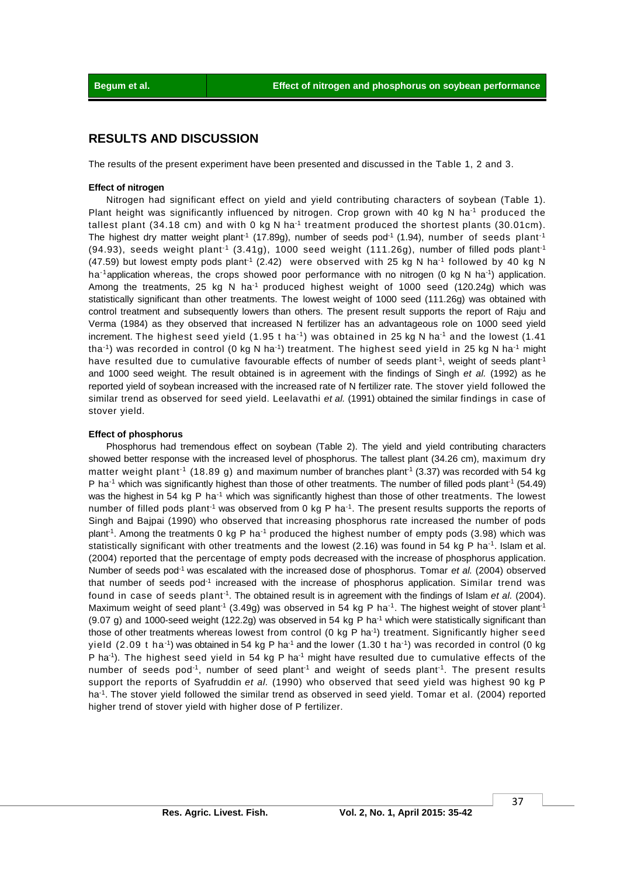### **RESULTS AND DISCUSSION**

The results of the present experiment have been presented and discussed in the Table 1, 2 and 3.

#### **Effect of nitrogen**

Nitrogen had significant effect on yield and yield contributing characters of soybean (Table 1). Plant height was significantly influenced by nitrogen. Crop grown with 40 kg N ha<sup>-1</sup> produced the tallest plant (34.18 cm) and with 0 kg N ha<sup>-1</sup> treatment produced the shortest plants (30.01cm). The highest dry matter weight plant<sup>-1</sup> (17.89g), number of seeds pod<sup>-1</sup> (1.94), number of seeds plant<sup>-1</sup>  $(94.93)$ , seeds weight plant<sup>-1</sup>  $(3.41g)$ , 1000 seed weight  $(111.26g)$ , number of filled pods plant<sup>-1</sup>  $(47.59)$  but lowest empty pods plant<sup>-1</sup> (2.42) were observed with 25 kg N ha<sup>-1</sup> followed by 40 kg N ha<sup>-1</sup>application whereas, the crops showed poor performance with no nitrogen (0 kg N ha<sup>-1</sup>) application. Among the treatments, 25 kg N ha<sup>-1</sup> produced highest weight of 1000 seed (120.24g) which was statistically significant than other treatments. The lowest weight of 1000 seed (111.26g) was obtained with control treatment and subsequently lowers than others. The present result supports the report of Raju and Verma (1984) as they observed that increased N fertilizer has an advantageous role on 1000 seed yield increment. The highest seed yield  $(1.95 t \text{ ha}^{-1})$  was obtained in 25 kg N ha<sup>-1</sup> and the lowest  $(1.41$ tha<sup>-1</sup>) was recorded in control (0 kg N ha<sup>-1</sup>) treatment. The highest seed yield in 25 kg N ha<sup>-1</sup> might have resulted due to cumulative favourable effects of number of seeds plant<sup>-1</sup>, weight of seeds plant<sup>-1</sup> and 1000 seed weight. The result obtained is in agreement with the findings of Singh *et al.* (1992) as he reported yield of soybean increased with the increased rate of N fertilizer rate. The stover yield followed the similar trend as observed for seed yield. Leelavathi *et al.* (1991) obtained the similar findings in case of stover yield.

#### **Effect of phosphorus**

 Phosphorus had tremendous effect on soybean (Table 2). The yield and yield contributing characters showed better response with the increased level of phosphorus. The tallest plant (34.26 cm), maximum dry matter weight plant<sup>-1</sup> (18.89 g) and maximum number of branches plant<sup>-1</sup> (3.37) was recorded with 54 kg P ha<sup>-1</sup> which was significantly highest than those of other treatments. The number of filled pods plant<sup>-1</sup> (54.49) was the highest in 54 kg P ha<sup>-1</sup> which was significantly highest than those of other treatments. The lowest number of filled pods plant<sup>-1</sup> was observed from 0 kg P ha<sup>-1</sup>. The present results supports the reports of Singh and Bajpai (1990) who observed that increasing phosphorus rate increased the number of pods plant<sup>-1</sup>. Among the treatments 0 kg P ha<sup>-1</sup> produced the highest number of empty pods (3.98) which was statistically significant with other treatments and the lowest (2.16) was found in 54 kg P ha-1. Islam et al. (2004) reported that the percentage of empty pods decreased with the increase of phosphorus application. Number of seeds pod-1 was escalated with the increased dose of phosphorus. Tomar *et al.* (2004) observed that number of seeds pod<sup>-1</sup> increased with the increase of phosphorus application. Similar trend was found in case of seeds plant-1. The obtained result is in agreement with the findings of Islam *et al.* (2004). Maximum weight of seed plant<sup>-1</sup> (3.49g) was observed in 54 kg P ha<sup>-1</sup>. The highest weight of stover plant<sup>-1</sup>  $(9.07 g)$  and 1000-seed weight  $(122.2g)$  was observed in 54 kg P ha<sup>-1</sup> which were statistically significant than those of other treatments whereas lowest from control (0 kg P ha<sup>-1</sup>) treatment. Significantly higher seed yield (2.09 t ha<sup>-1</sup>) was obtained in 54 kg P ha<sup>-1</sup> and the lower (1.30 t ha<sup>-1</sup>) was recorded in control (0 kg P ha<sup>-1</sup>). The highest seed yield in 54 kg P ha<sup>-1</sup> might have resulted due to cumulative effects of the number of seeds pod<sup>-1</sup>, number of seed plant<sup>-1</sup> and weight of seeds plant<sup>-1</sup>. The present results support the reports of Syafruddin *et al.* (1990) who observed that seed yield was highest 90 kg P ha<sup>-1</sup>. The stover yield followed the similar trend as observed in seed yield. Tomar et al. (2004) reported higher trend of stover yield with higher dose of P fertilizer.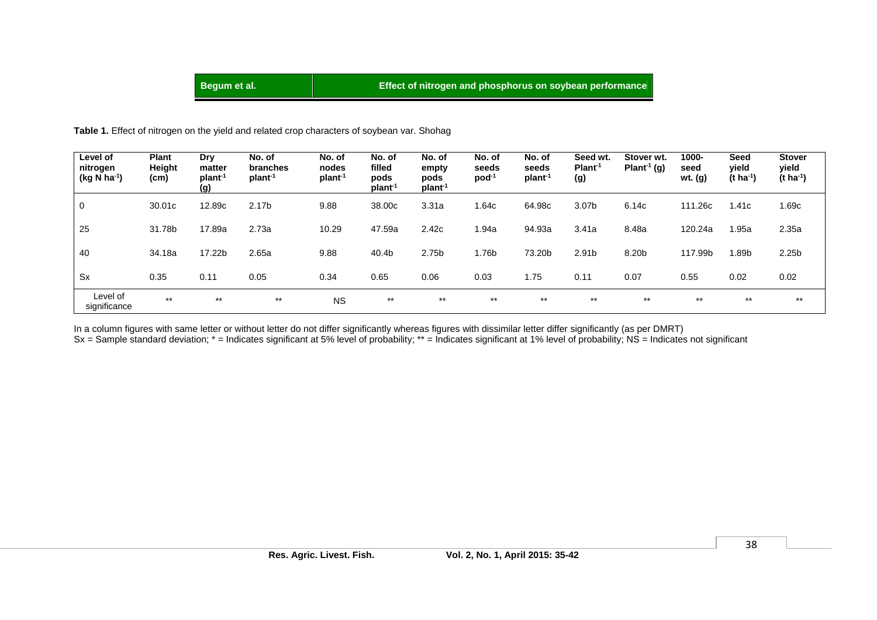## **Begum et al. Begum et al. Effect of nitrogen and phosphorus on soybean performance**

#### **Table 1.** Effect of nitrogen on the yield and related crop characters of soybean var. Shohag

| Level of<br>nitrogen<br>$(kg N ha^{-1})$ | <b>Plant</b><br>Height<br>(cm) | Dry<br>matter<br>plant <sup>-1</sup><br>(g) | No. of<br>branches<br>plant <sup>-1</sup> | No. of<br>nodes<br>plant <sup>-1</sup> | No. of<br>filled<br>pods<br>plant <sup>-1</sup> | No. of<br>empty<br>pods<br>plant <sup>-1</sup> | No. of<br>seeds<br>$pod-1$ | No. of<br>seeds<br>plant <sup>-1</sup> | Seed wt.<br>Plant <sup>-1</sup><br>(g) | Stover wt.<br>Plant <sup>-1</sup> (g) | 1000-<br>seed<br>wt. (g) | Seed<br>vield<br>$(t \, ha^{-1})$ | <b>Stover</b><br>yield<br>$(t \text{ ha}^{-1})$ |
|------------------------------------------|--------------------------------|---------------------------------------------|-------------------------------------------|----------------------------------------|-------------------------------------------------|------------------------------------------------|----------------------------|----------------------------------------|----------------------------------------|---------------------------------------|--------------------------|-----------------------------------|-------------------------------------------------|
| 0                                        | 30.01c                         | 12.89c                                      | 2.17 <sub>b</sub>                         | 9.88                                   | 38.00c                                          | 3.31a                                          | 1.64c                      | 64.98c                                 | 3.07b                                  | 6.14c                                 | 111.26c                  | 1.41c                             | 1.69c                                           |
| 25                                       | 31.78b                         | 17.89a                                      | 2.73a                                     | 10.29                                  | 47.59a                                          | 2.42c                                          | l.94a                      | 94.93a                                 | 3.41a                                  | 8.48a                                 | 120.24a                  | 1.95a                             | 2.35a                                           |
| 40                                       | 34.18a                         | 17.22b                                      | 2.65a                                     | 9.88                                   | 40.4b                                           | 2.75b                                          | ا 76b.،                    | 73.20b                                 | 2.91 <sub>b</sub>                      | 8.20b                                 | 117.99b                  | 1.89b                             | 2.25 <sub>b</sub>                               |
| <b>Sx</b>                                | 0.35                           | 0.11                                        | 0.05                                      | 0.34                                   | 0.65                                            | 0.06                                           | 0.03                       | 1.75                                   | 0.11                                   | 0.07                                  | 0.55                     | 0.02                              | 0.02                                            |
| Level of<br>significance                 | $***$                          | $***$                                       | $***$                                     | <b>NS</b>                              | $***$                                           | $***$                                          | $***$                      | $***$                                  | $***$                                  | $***$                                 | $***$                    | $***$                             | $***$                                           |

In a column figures with same letter or without letter do not differ significantly whereas figures with dissimilar letter differ significantly (as per DMRT)

Sx = Sample standard deviation; \* = Indicates significant at 5% level of probability; \*\* = Indicates significant at 1% level of probability; NS = Indicates not significant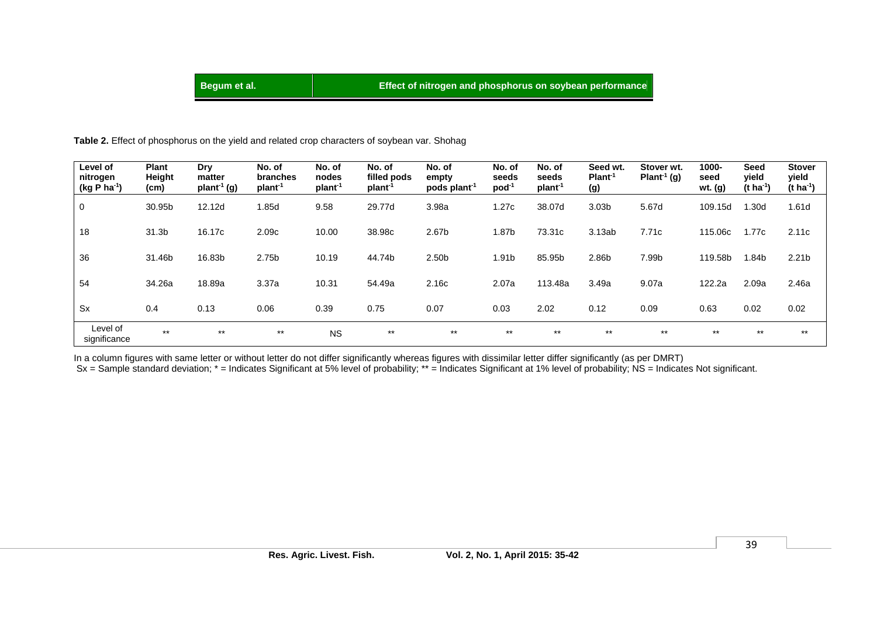**Table 2.** Effect of phosphorus on the yield and related crop characters of soybean var. Shohag

| Level of<br>nitrogen<br>$(kg P ha-1)$ | <b>Plant</b><br>Height<br>(cm) | Dry<br>matter<br>plan <sup>1</sup> (g) | No. of<br>branches<br>plant <sup>-1</sup> | No. of<br>nodes<br>plant <sup>-1</sup> | No. of<br>filled pods<br>plant <sup>-1</sup> | No. of<br>empty<br>pods plant <sup>-1</sup> | No. of<br>seeds<br>$pod-1$ | No. of<br>seeds<br>plant <sup>-1</sup> | Seed wt.<br>Plant <sup>1</sup><br>(g) | Stover wt.<br>Plant <sup>-1</sup> (g) | 1000-<br>seed<br>wt. (g) | <b>Seed</b><br>yield<br>(t ha <sup>-1</sup> ) | <b>Stover</b><br>yield<br>(t ha <sup>-1</sup> ) |
|---------------------------------------|--------------------------------|----------------------------------------|-------------------------------------------|----------------------------------------|----------------------------------------------|---------------------------------------------|----------------------------|----------------------------------------|---------------------------------------|---------------------------------------|--------------------------|-----------------------------------------------|-------------------------------------------------|
| $\mathbf 0$                           | 30.95b                         | 12.12d                                 | l.85d                                     | 9.58                                   | 29.77d                                       | 3.98a                                       | 1.27c                      | 38.07d                                 | 3.03 <sub>b</sub>                     | 5.67d                                 | 109.15d                  | l.30d                                         | 1.61d                                           |
| 18                                    | 31.3b                          | 16.17c                                 | 2.09c                                     | 10.00                                  | 38.98c                                       | 2.67b                                       | 1.87b                      | 73.31c                                 | 3.13ab                                | 7.71c                                 | 115.06c                  | 1.77c                                         | 2.11c                                           |
| 36                                    | 31.46b                         | 16.83b                                 | 2.75b                                     | 10.19                                  | 44.74b                                       | 2.50 <sub>b</sub>                           | 1.91b                      | 85.95b                                 | 2.86b                                 | 7.99b                                 | 119.58b                  | 1.84b                                         | 2.21 <sub>b</sub>                               |
| 54                                    | 34.26a                         | 18.89a                                 | 3.37a                                     | 10.31                                  | 54.49a                                       | 2.16c                                       | 2.07a                      | 113.48a                                | 3.49a                                 | 9.07a                                 | 122.2a                   | 2.09a                                         | 2.46a                                           |
| <b>Sx</b>                             | 0.4                            | 0.13                                   | 0.06                                      | 0.39                                   | 0.75                                         | 0.07                                        | 0.03                       | 2.02                                   | 0.12                                  | 0.09                                  | 0.63                     | 0.02                                          | 0.02                                            |
| Level of<br>significance              | $***$                          | $***$                                  | $***$                                     | <b>NS</b>                              | $***$                                        | $***$                                       | $***$                      | $***$                                  | $***$                                 | $***$                                 | $***$                    | $***$                                         | $***$                                           |

In a column figures with same letter or without letter do not differ significantly whereas figures with dissimilar letter differ significantly (as per DMRT) Sx = Sample standard deviation; \* = Indicates Significant at 5% level of probability; \*\* = Indicates Significant at 1% level of probability; NS = Indicates Not significant.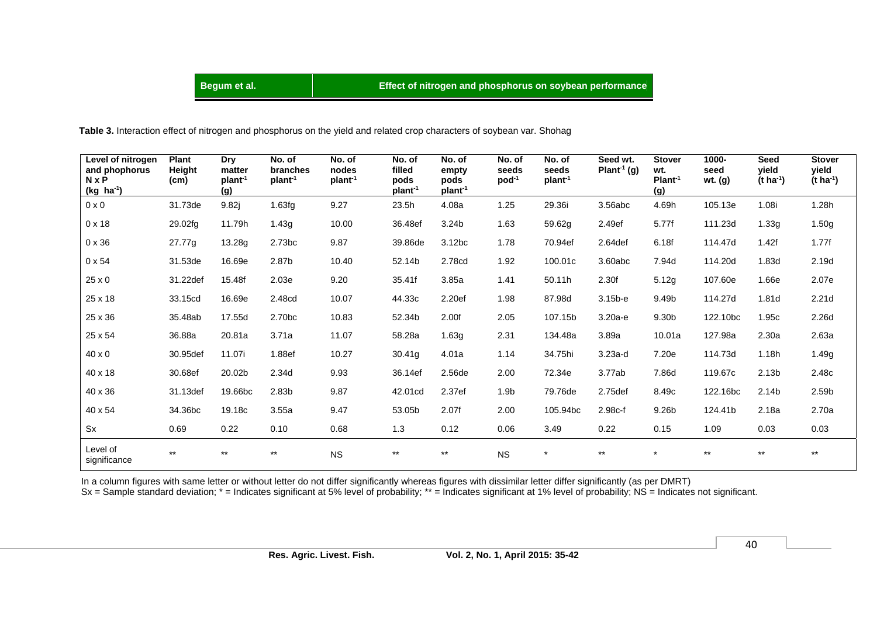## **Begum et al. Begum et al. Effect of nitrogen and phosphorus on soybean performance**

 **Table 3.** Interaction effect of nitrogen and phosphorus on the yield and related crop characters of soybean var. Shohag

| Level of nitrogen<br>and phophorus<br><b>N</b> x P<br>$(kg$ ha <sup>-1</sup> ) | <b>Plant</b><br>Height<br>(cm) | <b>Dry</b><br>matter<br>plant <sup>-1</sup><br>(g) | No. of<br>branches<br>plant <sup>-1</sup> | No. of<br>nodes<br>plant <sup>-1</sup> | No. of<br>filled<br>pods<br>plant <sup>-1</sup> | No. of<br>empty<br>pods<br>plan <sup>1</sup> | No. of<br>seeds<br>$pod^{-1}$ | No. of<br>seeds<br>plant <sup>-1</sup> | Seed wt.<br>Plant <sup>1</sup> (g) | <b>Stover</b><br>wt.<br>Plant <sup>1</sup><br>(g) | 1000-<br>seed<br>wt. (g) | <b>Seed</b><br>vield<br>(t ha <sup>-1</sup> ) | <b>Stover</b><br>vield<br>$(t \, ha^{-1})$ |
|--------------------------------------------------------------------------------|--------------------------------|----------------------------------------------------|-------------------------------------------|----------------------------------------|-------------------------------------------------|----------------------------------------------|-------------------------------|----------------------------------------|------------------------------------|---------------------------------------------------|--------------------------|-----------------------------------------------|--------------------------------------------|
| $0 \times 0$                                                                   | 31.73de                        | 9.82j                                              | 1.63fg                                    | 9.27                                   | 23.5h                                           | 4.08a                                        | 1.25                          | 29.36i                                 | 3.56abc                            | 4.69h                                             | 105.13e                  | 1.08i                                         | 1.28h                                      |
| $0 \times 18$                                                                  | 29.02fg                        | 11.79h                                             | 1.43g                                     | 10.00                                  | 36.48ef                                         | 3.24b                                        | 1.63                          | 59.62g                                 | 2.49ef                             | 5.77f                                             | 111.23d                  | 1.33g                                         | 1.50g                                      |
| $0 \times 36$                                                                  | 27.77g                         | 13.28g                                             | 2.73 <sub>bc</sub>                        | 9.87                                   | 39.86de                                         | 3.12bc                                       | 1.78                          | 70.94ef                                | 2.64def                            | 6.18f                                             | 114.47d                  | 1.42f                                         | 1.77f                                      |
| $0 \times 54$                                                                  | 31.53de                        | 16.69e                                             | 2.87b                                     | 10.40                                  | 52.14b                                          | 2.78cd                                       | 1.92                          | 100.01c                                | 3.60abc                            | 7.94d                                             | 114.20d                  | 1.83d                                         | 2.19d                                      |
| 25 x 0                                                                         | 31.22def                       | 15.48f                                             | 2.03e                                     | 9.20                                   | 35.41f                                          | 3.85a                                        | 1.41                          | 50.11h                                 | 2.30f                              | 5.12g                                             | 107.60e                  | 1.66e                                         | 2.07e                                      |
| 25 x 18                                                                        | 33.15cd                        | 16.69e                                             | 2.48cd                                    | 10.07                                  | 44.33c                                          | 2.20ef                                       | 1.98                          | 87.98d                                 | $3.15b-e$                          | 9.49b                                             | 114.27d                  | 1.81d                                         | 2.21 <sub>d</sub>                          |
| 25 x 36                                                                        | 35.48ab                        | 17.55d                                             | 2.70bc                                    | 10.83                                  | 52.34b                                          | 2.00f                                        | 2.05                          | 107.15b                                | $3.20a-e$                          | 9.30b                                             | 122.10bc                 | 1.95c                                         | 2.26d                                      |
| 25 x 54                                                                        | 36.88a                         | 20.81a                                             | 3.71a                                     | 11.07                                  | 58.28a                                          | 1.63g                                        | 2.31                          | 134.48a                                | 3.89a                              | 10.01a                                            | 127.98a                  | 2.30a                                         | 2.63a                                      |
| $40 \times 0$                                                                  | 30.95def                       | 11.07i                                             | 1.88ef                                    | 10.27                                  | 30.41g                                          | 4.01a                                        | 1.14                          | 34.75hi                                | $3.23a-d$                          | 7.20e                                             | 114.73d                  | 1.18h                                         | 1.49g                                      |
| 40 x 18                                                                        | 30.68ef                        | 20.02b                                             | 2.34d                                     | 9.93                                   | 36.14ef                                         | 2.56de                                       | 2.00                          | 72.34e                                 | 3.77ab                             | 7.86d                                             | 119.67c                  | 2.13 <sub>b</sub>                             | 2.48c                                      |
| 40 x 36                                                                        | 31.13def                       | 19.66bc                                            | 2.83 <sub>b</sub>                         | 9.87                                   | 42.01cd                                         | 2.37ef                                       | 1.9 <sub>b</sub>              | 79.76de                                | 2.75def                            | 8.49 <sub>c</sub>                                 | 122.16bc                 | 2.14b                                         | 2.59b                                      |
| 40 x 54                                                                        | 34.36bc                        | 19.18c                                             | 3.55a                                     | 9.47                                   | 53.05b                                          | 2.07f                                        | 2.00                          | 105.94bc                               | 2.98c-f                            | 9.26b                                             | 124.41b                  | 2.18a                                         | 2.70a                                      |
| Sx                                                                             | 0.69                           | 0.22                                               | 0.10                                      | 0.68                                   | 1.3                                             | 0.12                                         | 0.06                          | 3.49                                   | 0.22                               | 0.15                                              | 1.09                     | 0.03                                          | 0.03                                       |
| Level of<br>significance                                                       | $***$                          | $***$                                              | $***$                                     | <b>NS</b>                              | $***$                                           | $***$                                        | <b>NS</b>                     | $\star$                                | $***$                              | $\star$                                           | $***$                    | $***$                                         | $***$                                      |

In a column figures with same letter or without letter do not differ significantly whereas figures with dissimilar letter differ significantly (as per DMRT)

Sx = Sample standard deviation; \* = Indicates significant at 5% level of probability; \*\* = Indicates significant at 1% level of probability; NS = Indicates not significant.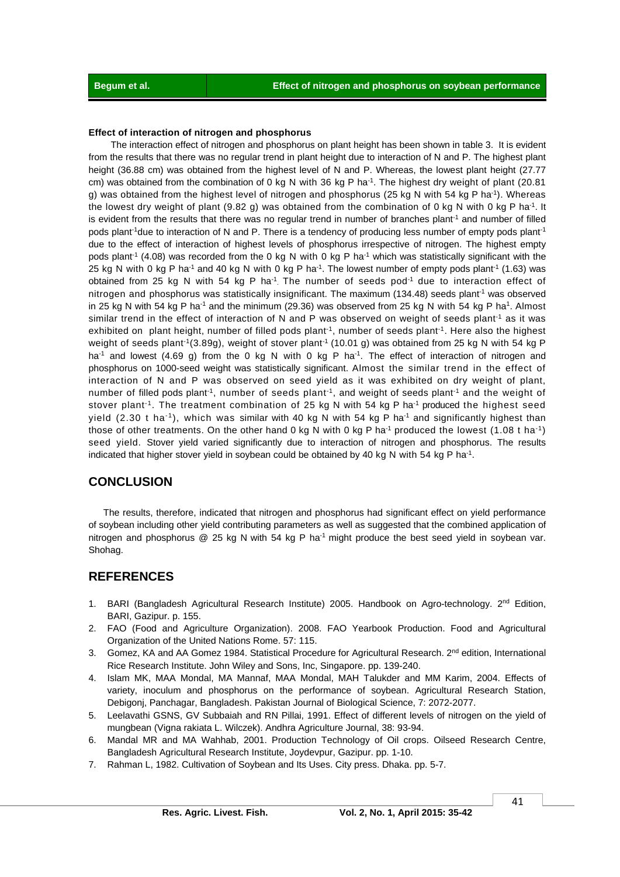#### **Effect of interaction of nitrogen and phosphorus**

 The interaction effect of nitrogen and phosphorus on plant height has been shown in table 3. It is evident from the results that there was no regular trend in plant height due to interaction of N and P. The highest plant height (36.88 cm) was obtained from the highest level of N and P. Whereas, the lowest plant height (27.77 cm) was obtained from the combination of 0 kg N with 36 kg P ha<sup>-1</sup>. The highest dry weight of plant (20.81 g) was obtained from the highest level of nitrogen and phosphorus (25 kg N with 54 kg P ha<sup>-1</sup>). Whereas the lowest dry weight of plant (9.82 g) was obtained from the combination of 0 kg N with 0 kg P ha<sup>-1</sup>. It is evident from the results that there was no regular trend in number of branches plant<sup>1</sup> and number of filled pods plant<sup>-1</sup>due to interaction of N and P. There is a tendency of producing less number of empty pods plant<sup>-1</sup> due to the effect of interaction of highest levels of phosphorus irrespective of nitrogen. The highest empty pods plant<sup>-1</sup> (4.08) was recorded from the 0 kg N with 0 kg P ha<sup>-1</sup> which was statistically significant with the 25 kg N with 0 kg P ha<sup>-1</sup> and 40 kg N with 0 kg P ha<sup>-1</sup>. The lowest number of empty pods plant<sup>-1</sup> (1.63) was obtained from 25 kg N with 54 kg P ha<sup>-1</sup>. The number of seeds pod<sup>-1</sup> due to interaction effect of nitrogen and phosphorus was statistically insignificant. The maximum (134.48) seeds plant<sup>-1</sup> was observed in 25 kg N with 54 kg P ha<sup>-1</sup> and the minimum (29.36) was observed from 25 kg N with 54 kg P ha<sup>1</sup>. Almost similar trend in the effect of interaction of N and P was observed on weight of seeds plant<sup>-1</sup> as it was exhibited on plant height, number of filled pods plant<sup>-1</sup>, number of seeds plant<sup>-1</sup>. Here also the highest weight of seeds plant<sup>-1</sup>(3.89g), weight of stover plant<sup>-1</sup> (10.01 g) was obtained from 25 kg N with 54 kg P ha<sup>-1</sup> and lowest (4.69 g) from the 0 kg N with 0 kg P ha<sup>-1</sup>. The effect of interaction of nitrogen and phosphorus on 1000-seed weight was statistically significant. Almost the similar trend in the effect of interaction of N and P was observed on seed yield as it was exhibited on dry weight of plant, number of filled pods plant<sup>-1</sup>, number of seeds plant<sup>-1</sup>, and weight of seeds plant<sup>-1</sup> and the weight of stover plant<sup>-1</sup>. The treatment combination of 25 kg N with 54 kg P ha<sup>-1</sup> produced the highest seed yield (2.30 t ha<sup>-1</sup>), which was similar with 40 kg N with 54 kg P ha<sup>-1</sup> and significantly highest than those of other treatments. On the other hand 0 kg N with 0 kg P ha<sup>-1</sup> produced the lowest (1.08 t ha<sup>-1</sup>) seed yield. Stover yield varied significantly due to interaction of nitrogen and phosphorus. The results indicated that higher stover yield in soybean could be obtained by 40 kg N with 54 kg P ha<sup>-1</sup>.

### **CONCLUSION**

The results, therefore, indicated that nitrogen and phosphorus had significant effect on yield performance of soybean including other yield contributing parameters as well as suggested that the combined application of nitrogen and phosphorus  $@$  25 kg N with 54 kg P ha<sup>-1</sup> might produce the best seed yield in soybean var. Shohag.

## **REFERENCES**

- 1. BARI (Bangladesh Agricultural Research Institute) 2005. Handbook on Agro-technology. 2<sup>nd</sup> Edition, BARI, Gazipur. p. 155.
- 2. FAO (Food and Agriculture Organization). 2008. FAO Yearbook Production. Food and Agricultural Organization of the United Nations Rome. 57: 115.
- 3. Gomez, KA and AA Gomez 1984. Statistical Procedure for Agricultural Research. 2<sup>nd</sup> edition, International Rice Research Institute. John Wiley and Sons, Inc, Singapore. pp. 139-240.
- 4. Islam MK, MAA Mondal, MA Mannaf, MAA Mondal, MAH Talukder and MM Karim, 2004. Effects of variety, inoculum and phosphorus on the performance of soybean. Agricultural Research Station, Debigonj, Panchagar, Bangladesh. Pakistan Journal of Biological Science, 7: 2072-2077.
- 5. Leelavathi GSNS, GV Subbaiah and RN Pillai, 1991. Effect of different levels of nitrogen on the yield of mungbean (Vigna rakiata L. Wilczek). Andhra Agriculture Journal, 38: 93-94.
- 6. Mandal MR and MA Wahhab, 2001. Production Technology of Oil crops. Oilseed Research Centre, Bangladesh Agricultural Research Institute, Joydevpur, Gazipur. pp. 1-10.
- 7. Rahman L, 1982. Cultivation of Soybean and Its Uses. City press. Dhaka. pp. 5-7.